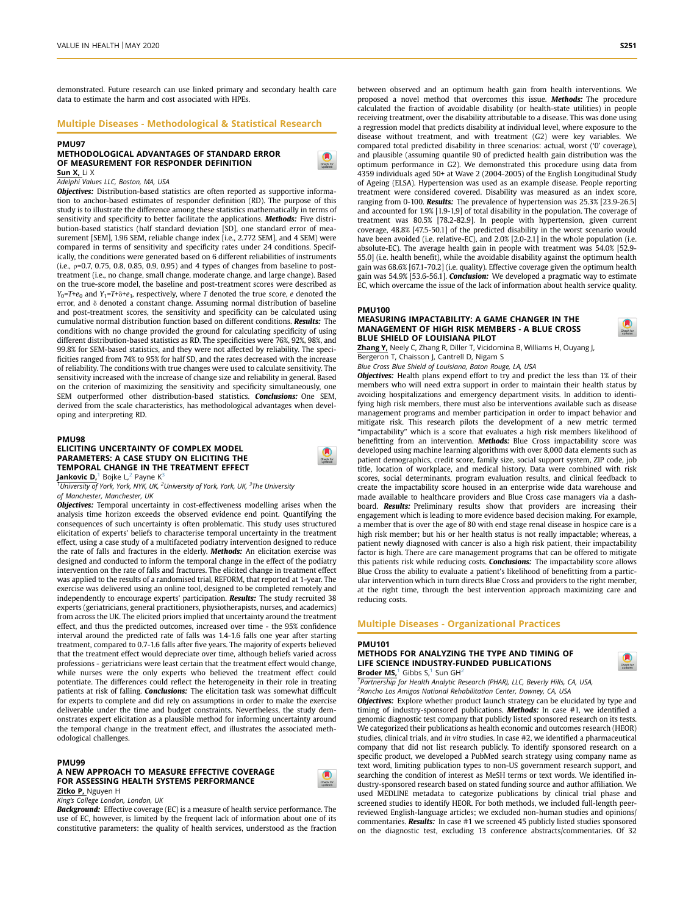demonstrated. Future research can use linked primary and secondary health care data to estimate the harm and cost associated with HPEs.

# Multiple Diseases - Methodological & Statistical Research

# PMU97

# METHODOLOGICAL ADVANTAGES OF STANDARD ERROR OF MEASUREMENT FOR RESPONDER DEFINITION Sun X, Li X

# Adelphi Values LLC, Boston, MA, USA

Objectives: Distribution-based statistics are often reported as supportive information to anchor-based estimates of responder definition (RD). The purpose of this study is to illustrate the difference among these statistics mathematically in terms of sensitivity and specificity to better facilitate the applications. Methods: Five distribution-based statistics (half standard deviation [SD], one standard error of measurement [SEM], 1.96 SEM, reliable change index [i.e., 2.772 SEM], and 4 SEM) were compared in terms of sensitivity and specificity rates under 24 conditions. Specifically, the conditions were generated based on 6 different reliabilities of instruments  $(i.e., p=0.7, 0.75, 0.8, 0.85, 0.9, 0.95)$  and 4 types of changes from baseline to posttreatment (i.e., no change, small change, moderate change, and large change). Based on the true-score model, the baseline and post-treatment scores were described as  $Y_0$ =T+ $e_0$  and  $Y_1$ =T+ $\delta$ + $e_1$ , respectively, where T denoted the true score, e denoted the error, and  $\delta$  denoted a constant change. Assuming normal distribution of baseline and post-treatment scores, the sensitivity and specificity can be calculated using cumulative normal distribution function based on different conditions. Results: The conditions with no change provided the ground for calculating specificity of using different distribution-based statistics as RD. The specificities were 76%, 92%, 98%, and 99.8% for SEM-based statistics, and they were not affected by reliability. The specificities ranged from 74% to 95% for half SD, and the rates decreased with the increase of reliability. The conditions with true changes were used to calculate sensitivity. The sensitivity increased with the increase of change size and reliability in general. Based on the criterion of maximizing the sensitivity and specificity simultaneously, one SEM outperformed other distribution-based statistics. **Conclusions:** One SEM, derived from the scale characteristics, has methodological advantages when developing and interpreting RD.

#### PMU98

# ELICITING UNCERTAINTY OF COMPLEX MODEL PARAMETERS: A CASE STUDY ON ELICITING THE TEMPORAL CHANGE IN THE TREATMENT EFFECT



o

**Jankovic D,**<sup>1</sup> Bojke L,<sup>2</sup> Payne K<sup>3</sup>

 $^{\text{1}}$ University of York, York, NYK, UK,  $^{\text{2}}$ University of York, York, UK,  $^{\text{3}}$ The University

of Manchester, Manchester, UK

Objectives: Temporal uncertainty in cost-effectiveness modelling arises when the analysis time horizon exceeds the observed evidence end point. Quantifying the consequences of such uncertainty is often problematic. This study uses structured elicitation of experts' beliefs to characterise temporal uncertainty in the treatment effect, using a case study of a multifaceted podiatry intervention designed to reduce the rate of falls and fractures in the elderly. Methods: An elicitation exercise was designed and conducted to inform the temporal change in the effect of the podiatry intervention on the rate of falls and fractures. The elicited change in treatment effect was applied to the results of a randomised trial, REFORM, that reported at 1-year. The exercise was delivered using an online tool, designed to be completed remotely and independently to encourage experts' participation. **Results:** The study recruited 38 experts (geriatricians, general practitioners, physiotherapists, nurses, and academics) from across the UK. The elicited priors implied that uncertainty around the treatment effect, and thus the predicted outcomes, increased over time - the 95% confidence interval around the predicted rate of falls was 1.4-1.6 falls one year after starting treatment, compared to 0.7-1.6 falls after five years. The majority of experts believed that the treatment effect would depreciate over time, although beliefs varied across professions - geriatricians were least certain that the treatment effect would change, while nurses were the only experts who believed the treatment effect could potentiate. The differences could reflect the heterogeneity in their role in treating patients at risk of falling. Conclusions: The elicitation task was somewhat difficult for experts to complete and did rely on assumptions in order to make the exercise deliverable under the time and budget constraints. Nevertheless, the study demonstrates expert elicitation as a plausible method for informing uncertainty around the temporal change in the treatment effect, and illustrates the associated methodological challenges.

# PMU99

# A NEW APPROACH TO MEASURE EFFECTIVE COVERAGE FOR ASSESSING HEALTH SYSTEMS PERFORMANCE



King's College London, London, UK

**Background:** Effective coverage (EC) is a measure of health service performance. The use of EC, however, is limited by the frequent lack of information about one of its constitutive parameters: the quality of health services, understood as the fraction between observed and an optimum health gain from health interventions. We proposed a novel method that overcomes this issue. **Methods:** The procedure calculated the fraction of avoidable disability (or health-state utilities) in people receiving treatment, over the disability attributable to a disease. This was done using a regression model that predicts disability at individual level, where exposure to the disease without treatment, and with treatment (G2) were key variables. We compared total predicted disability in three scenarios: actual, worst ('0' coverage), and plausible (assuming quantile 90 of predicted health gain distribution was the optimum performance in G2). We demonstrated this procedure using data from 4359 individuals aged 50+ at Wave 2 (2004-2005) of the English Longitudinal Study of Ageing (ELSA). Hypertension was used as an example disease. People reporting treatment were considered covered. Disability was measured as an index score, ranging from 0-100. Results: The prevalence of hypertension was 25.3% [23.9-26.5] and accounted for 1.9% [1.9-1,9] of total disability in the population. The coverage of treatment was 80.5% [78.2-82.9]. In people with hypertension, given current coverage, 48.8% [47.5-50.1] of the predicted disability in the worst scenario would have been avoided (i.e. relative-EC), and 2.0% [2.0-2.1] in the whole population (i.e. absolute-EC). The average health gain in people with treatment was 54.0% [52.9- 55.0] (i.e. health benefit), while the avoidable disability against the optimum health gain was 68.6% [67.1-70.2] (i.e. quality). Effective coverage given the optimum health gain was 54.9% [53.6-56.1]. Conclusion: We developed a pragmatic way to estimate EC, which overcame the issue of the lack of information about health service quality.

#### PMU100

#### MEASURING IMPACTABILITY: A GAME CHANGER IN THE MANAGEMENT OF HIGH RISK MEMBERS - A BLUE CROSS BLUE SHIELD OF LOUISIANA PILOT



Zhang Y, Neely C, Zhang R, Diller T, Vicidomina B, Williams H, Ouyang J, Bergeron T, Chaisson J, Cantrell D, Nigam S

Blue Cross Blue Shield of Louisiana, Baton Rouge, LA, USA

Objectives: Health plans expend effort to try and predict the less than 1% of their members who will need extra support in order to maintain their health status by avoiding hospitalizations and emergency department visits. In addition to identifying high risk members, there must also be interventions available such as disease management programs and member participation in order to impact behavior and mitigate risk. This research pilots the development of a new metric termed "impactability" which is a score that evaluates a high risk members likelihood of benefitting from an intervention. Methods: Blue Cross impactability score was developed using machine learning algorithms with over 8,000 data elements such as patient demographics, credit score, family size, social support system, ZIP code, job title, location of workplace, and medical history. Data were combined with risk scores, social determinants, program evaluation results, and clinical feedback to create the impactability score housed in an enterprise wide data warehouse and made available to healthcare providers and Blue Cross case managers via a dashboard. Results: Preliminary results show that providers are increasing their engagement which is leading to more evidence based decision making. For example, a member that is over the age of 80 with end stage renal disease in hospice care is a high risk member; but his or her health status is not really impactable; whereas, a patient newly diagnosed with cancer is also a high risk patient, their impactability factor is high. There are care management programs that can be offered to mitigate this patients risk while reducing costs. **Conclusions:** The impactability score allows Blue Cross the ability to evaluate a patient's likelihood of benefitting from a particular intervention which in turn directs Blue Cross and providers to the right member, at the right time, through the best intervention approach maximizing care and reducing costs.

### Multiple Diseases - Organizational Practices

#### PMU101

# METHODS FOR ANALYZING THE TYPE AND TIMING OF LIFE SCIENCE INDUSTRY-FUNDED PUBLICATIONS Broder MS, $<sup>1</sup>$  Gibbs S, $<sup>1</sup>$  Sun GH<sup>2</sup></sup></sup>



<sup>1</sup>Partnership for Health Analytic Research (PHAR), LLC, Beverly Hills, CA, USA, <sup>2</sup> Rancho Los Amigos National Rehabilitation Center, Downey, CA, USA

Objectives: Explore whether product launch strategy can be elucidated by type and timing of industry-sponsored publications. Methods: In case #1, we identified a genomic diagnostic test company that publicly listed sponsored research on its tests. We categorized their publications as health economic and outcomes research (HEOR) studies, clinical trials, and in vitro studies. In case #2, we identified a pharmaceutical company that did not list research publicly. To identify sponsored research on a specific product, we developed a PubMed search strategy using company name as text word, limiting publication types to non-US government research support, and searching the condition of interest as MeSH terms or text words. We identified industry-sponsored research based on stated funding source and author affiliation. We used MEDLINE metadata to categorize publications by clinical trial phase and screened studies to identify HEOR. For both methods, we included full-length peerreviewed English-language articles; we excluded non-human studies and opinions/ commentaries. Results: In case #1 we screened 45 publicly listed studies sponsored on the diagnostic test, excluding 13 conference abstracts/commentaries. Of 32